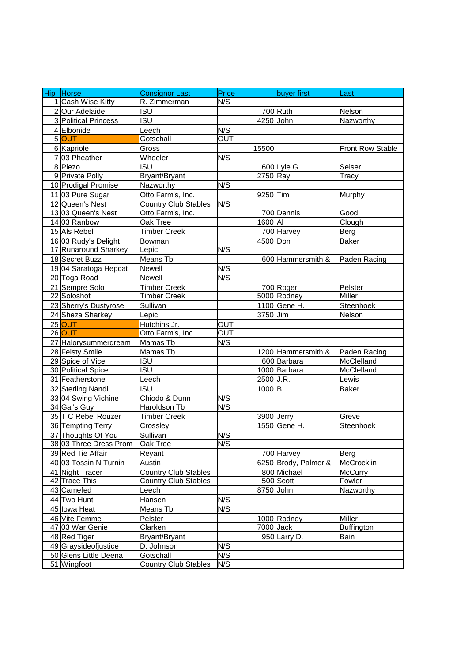| Hip Horse              | <b>Consignor Last</b>       | Price                   | buyer first          | Last              |
|------------------------|-----------------------------|-------------------------|----------------------|-------------------|
| 1 Cash Wise Kitty      | R. Zimmerman                | N/S                     |                      |                   |
| 2 Our Adelaide         | <b>ISU</b>                  |                         | 700 Ruth             | Nelson            |
| 3 Political Princess   | <b>ISU</b>                  |                         | 4250 John            | Nazworthy         |
| 4 Elbonide             | Leech                       | N/S                     |                      |                   |
| 5 OUT                  | Gotschall                   | $\overline{\text{OUT}}$ |                      |                   |
| 6 Kapriole             | Gross                       | 15500                   |                      | Front Row Stable  |
| 7 03 Pheather          | Wheeler                     | N/S                     |                      |                   |
| 8 Piezo                | <b>ISU</b>                  |                         | 600 Lyle G.          | Seiser            |
| 9 Private Polly        | Bryant/Bryant               |                         | 2750 Ray             | <b>Tracy</b>      |
| 10 Prodigal Promise    | Nazworthy                   | N/S                     |                      |                   |
| 11 03 Pure Sugar       | Otto Farm's, Inc.           |                         | 9250 Tim             | Murphy            |
| 12 Queen's Nest        | <b>Country Club Stables</b> | N/S                     |                      |                   |
| 13 03 Queen's Nest     | Otto Farm's, Inc.           |                         | 700 Dennis           | Good              |
| 14 03 Ranbow           | Oak Tree                    |                         | 1600 AI              | Clough            |
| 15 Als Rebel           | <b>Timber Creek</b>         |                         | 700 Harvey           | Berg              |
| 16 03 Rudy's Delight   | Bowman                      |                         | 4500 Don             | <b>Baker</b>      |
| 17 Runaround Sharkey   | Lepic                       | N/S                     |                      |                   |
| 18 Secret Buzz         | Means Tb                    |                         | 600 Hammersmith &    | Paden Racing      |
| 19 04 Saratoga Hepcat  | Newell                      | N/S                     |                      |                   |
| 20 Toga Road           | Newell                      | N/S                     |                      |                   |
| 21 Sempre Solo         | <b>Timber Creek</b>         |                         | 700 Roger            | Pelster           |
| 22 Soloshot            | <b>Timber Creek</b>         |                         | 5000 Rodney          | Miller            |
| 23 Sherry's Dustyrose  | Sullivan                    |                         | 1100 Gene H.         | Steenhoek         |
| 24 Sheza Sharkey       | Lepic                       |                         | 3750 Jim             | Nelson            |
| 25 OUT                 | Hutchins Jr.                | <b>OUT</b>              |                      |                   |
| 26 OUT                 | Otto Farm's, Inc.           | $\overline{\text{OUT}}$ |                      |                   |
| 27 Halorysummerdream   | Mamas Tb                    | N/S                     |                      |                   |
| 28 Feisty Smile        | Mamas Tb                    |                         | 1200 Hammersmith &   | Paden Racing      |
| 29 Spice of Vice       | <b>ISU</b>                  |                         | 600 Barbara          | McClelland        |
| 30 Political Spice     | $\overline{\mathsf{ISU}}$   |                         | 1000 Barbara         | McClelland        |
| 31 Featherstone        | Leech                       |                         | 2500 J.R.            | Lewis             |
| 32 Sterling Nandi      | <b>ISU</b>                  |                         | 1000 <sub>B</sub> .  | Baker             |
| 33 04 Swing Vichine    | Chiodo & Dunn               | N/S                     |                      |                   |
| 34 Gal's Guy           | Haroldson Tb                | N/S                     |                      |                   |
| 35 T C Rebel Rouzer    | <b>Timber Creek</b>         |                         | 3900 Jerry           | Greve             |
| 36 Tempting Terry      | Crossley                    |                         | 1550 Gene H.         | Steenhoek         |
| 37 Thoughts Of You     | Sullivan                    | N/S                     |                      |                   |
| 38 03 Three Dress Prom | Oak Tree                    | N/S                     |                      |                   |
| 39 Red Tie Affair      | Reyant                      |                         | 700 Harvey           | Berg              |
| 40 03 Tossin N Turnin  | Austin                      |                         | 6250 Brody, Palmer & | McCrocklin        |
| 41 Night Tracer        | <b>Country Club Stables</b> |                         | 800 Michael          | <b>McCurry</b>    |
| 42 Trace This          | <b>Country Club Stables</b> |                         | 500 Scott            | Fowler            |
| 43 Camefed             | Leech                       |                         | 8750 John            | Nazworthy         |
| 44 Two Hunt            | Hansen                      | N/S                     |                      |                   |
| 45 lowa Heat           | Means Tb                    | N/S                     |                      |                   |
| 46 Vite Femme          | Pelster                     |                         | 1000 Rodney          | Miller            |
| 47 03 War Genie        | Clarken                     |                         | 7000 Jack            | <b>Buffington</b> |
| 48 Red Tiger           | Bryant/Bryant               |                         | 950 Larry D.         | Bain              |
| 49 Graysideofjustice   | D. Johnson                  | N/S                     |                      |                   |
| 50 Glens Little Deena  | Gotschall                   | N/S                     |                      |                   |
| 51 Wingfoot            | <b>Country Club Stables</b> | N/S                     |                      |                   |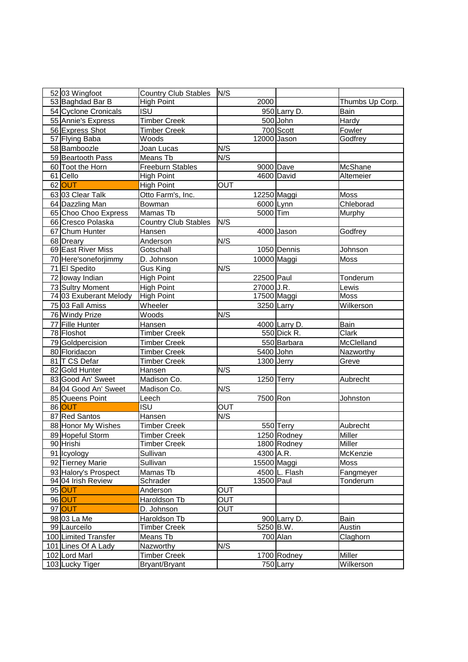| 52 03 Wingfoot         | Country Club Stables N/S    |                            |             |               |                 |
|------------------------|-----------------------------|----------------------------|-------------|---------------|-----------------|
| 53 Baghdad Bar B       | <b>High Point</b>           |                            | 2000        |               | Thumbs Up Corp. |
| 54 Cyclone Cronicals   | <b>ISU</b>                  |                            |             | 950 Larry D.  | Bain            |
| 55 Annie's Express     | <b>Timber Creek</b>         |                            |             | 500 John      | Hardy           |
| 56 Express Shot        | <b>Timber Creek</b>         |                            |             | 700 Scott     | Fowler          |
| 57 Flying Baba         | Woods                       |                            | 12000 Jason |               | Godfrey         |
| 58 Bamboozle           | Joan Lucas                  | N/S                        |             |               |                 |
| 59 Beartooth Pass      | Means Tb                    | N/S                        |             |               |                 |
| 60 Toot the Horn       | <b>Freeburn Stables</b>     |                            |             | 9000 Dave     | McShane         |
| 61 Cello               | <b>High Point</b>           |                            |             | 4600 David    | Altemeier       |
| 62 OUT                 | <b>High Point</b>           | OUT                        |             |               |                 |
| 63 03 Clear Talk       | Otto Farm's, Inc.           |                            | 12250 Maggi |               | Moss            |
| 64 Dazzling Man        | <b>Bowman</b>               |                            | 6000 Lynn   |               | Chleborad       |
| 65 Choo Choo Express   | Mamas Tb                    |                            | 5000 Tim    |               | Murphy          |
| 66 Cresco Polaska      | <b>Country Club Stables</b> | N/S                        |             |               |                 |
| 67 Chum Hunter         | Hansen                      |                            |             | 4000 Jason    | Godfrey         |
| 68 Dreary              | Anderson                    | N/S                        |             |               |                 |
| 69 East River Miss     | Gotschall                   |                            |             | 1050 Dennis   | Johnson         |
| 70 Here'soneforjimmy   | D. Johnson                  |                            | 10000 Maggi |               | Moss            |
| 71 El Spedito          | Gus King                    | $\overline{\mathsf{N}}$ /S |             |               |                 |
| 72 loway Indian        | <b>High Point</b>           |                            | 22500 Paul  |               | Tonderum        |
| 73 Sultry Moment       | <b>High Point</b>           |                            | 27000 J.R.  |               | Lewis           |
| 74 03 Exuberant Melody | <b>High Point</b>           |                            | 17500 Maggi |               | <b>Moss</b>     |
| 75 03 Fall Amiss       | Wheeler                     |                            | 3250 Larry  |               | Wilkerson       |
| 76 Windy Prize         | Woods                       | N/S                        |             |               |                 |
| 77 Fille Hunter        | Hansen                      |                            |             | 4000 Larry D. | Bain            |
| 78 Floshot             | <b>Timber Creek</b>         |                            |             | 550 Dick R.   | Clark           |
| 79 Goldpercision       | <b>Timber Creek</b>         |                            |             | 550 Barbara   | McClelland      |
| 80 Floridacon          | <b>Timber Creek</b>         |                            | 5400 John   |               | Nazworthy       |
| 81 T CS Defar          | <b>Timber Creek</b>         |                            |             | 1300 Jerry    | Greve           |
| 82 Gold Hunter         | Hansen                      | N/S                        |             |               |                 |
| 83 Good An' Sweet      | Madison Co.                 |                            |             | 1250 Terry    | Aubrecht        |
| 84 04 Good An' Sweet   | Madison Co.                 | N/S                        |             |               |                 |
| 85 Queens Point        | Leech                       |                            | 7500 Ron    |               | Johnston        |
| 86 OUT                 | <b>ISU</b>                  | OUT                        |             |               |                 |
| 87 Red Santos          | Hansen                      | N/S                        |             |               |                 |
| 88 Honor My Wishes     | <b>Timber Creek</b>         |                            |             | 550 Terry     | Aubrecht        |
| 89 Hopeful Storm       | <b>Timber Creek</b>         |                            |             | 1250 Rodney   | Miller          |
| 90 Hrishi              | <b>Timber Creek</b>         |                            |             | 1800 Rodney   | Miller          |
| 91 Icyology            | Sullivan                    |                            | 4300 A.R.   |               | McKenzie        |
| 92 Tierney Marie       | Sullivan                    |                            |             | 15500 Maggi   | Moss            |
| 93 Halory's Prospect   | Mamas Tb                    |                            |             | 4500 L. Flash | Fangmeyer       |
| 94 04 Irish Review     | Schrader                    |                            | 13500 Paul  |               | Tonderum        |
| 95 OUT                 | Anderson                    | $\overline{\text{OUT}}$    |             |               |                 |
| 96 OUT                 | Haroldson Tb                | OUT                        |             |               |                 |
| 97 OUT                 | D. Johnson                  | OUT                        |             |               |                 |
| 98 03 La Me            | Haroldson Tb                |                            |             | 900 Larry D.  | Bain            |
| 99 Laurceilo           | <b>Timber Creek</b>         |                            | 5250 B.W.   |               | Austin          |
| 100 Limited Transfer   | Means Tb                    |                            |             | 700 Alan      | Claghorn        |
| 101 Lines Of A Lady    | Nazworthy                   | N/S                        |             |               |                 |
| 102 Lord Marl          | <b>Timber Creek</b>         |                            |             | 1700 Rodney   | Miller          |
| 103 Lucky Tiger        | Bryant/Bryant               |                            |             | 750 Larry     | Wilkerson       |